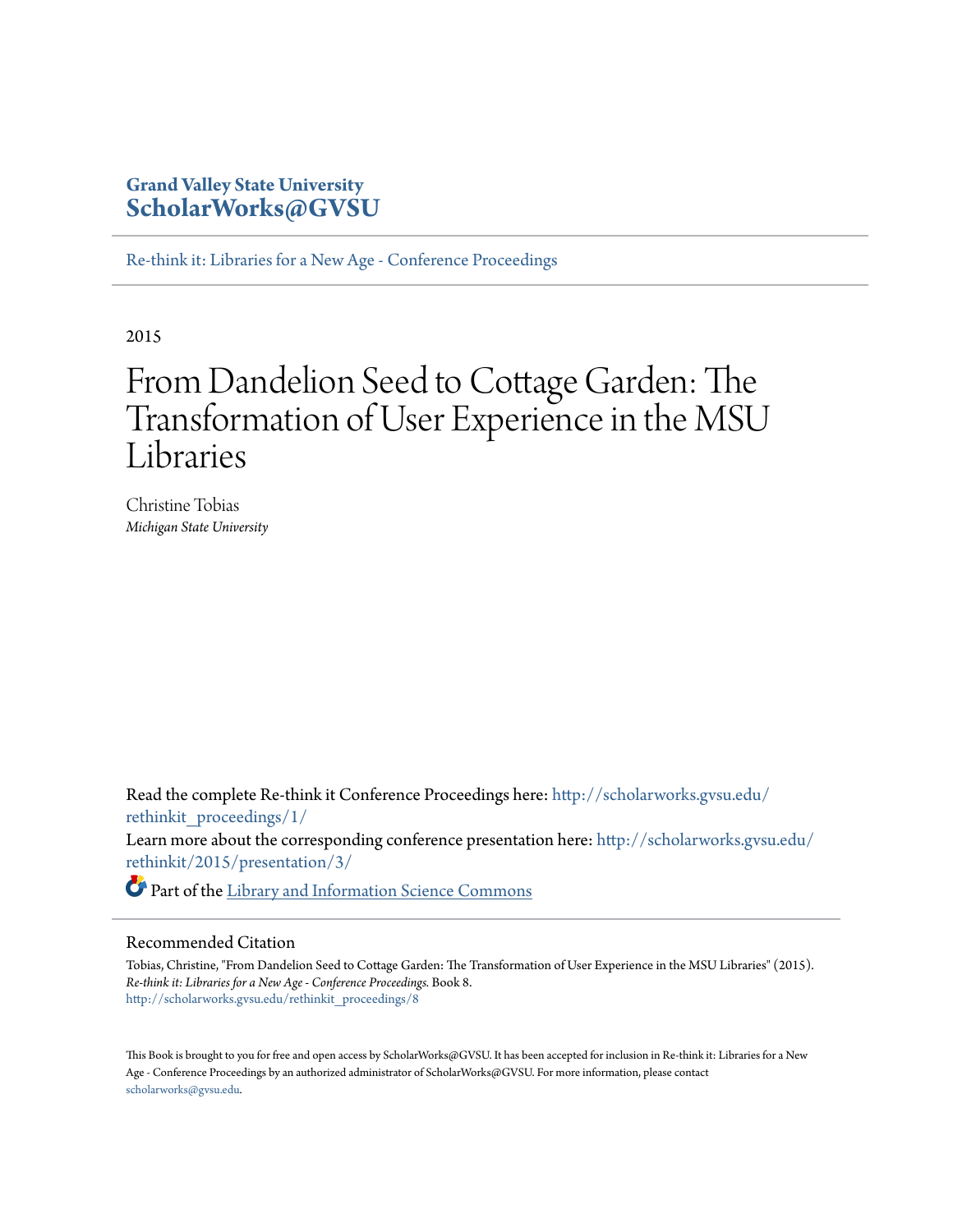# **Grand Valley State University [ScholarWorks@GVSU](http://scholarworks.gvsu.edu?utm_source=scholarworks.gvsu.edu%2Frethinkit_proceedings%2F8&utm_medium=PDF&utm_campaign=PDFCoverPages)**

[Re-think it: Libraries for a New Age - Conference Proceedings](http://scholarworks.gvsu.edu/rethinkit_proceedings?utm_source=scholarworks.gvsu.edu%2Frethinkit_proceedings%2F8&utm_medium=PDF&utm_campaign=PDFCoverPages)

2015

# From Dandelion Seed to Cottage Garden: The Transformation of User Experience in the MSU Libraries

Christine Tobias *Michigan State University*

Read the complete Re-think it Conference Proceedings here: [http://scholarworks.gvsu.edu/](http://scholarworks.gvsu.edu/rethinkit_proceedings/1/) [rethinkit\\_proceedings/1/](http://scholarworks.gvsu.edu/rethinkit_proceedings/1/) Learn more about the corresponding conference presentation here: [http://scholarworks.gvsu.edu/](http://scholarworks.gvsu.edu/rethinkit/2015/presentation/3/) [rethinkit/2015/presentation/3/](http://scholarworks.gvsu.edu/rethinkit/2015/presentation/3/)

Part of the [Library and Information Science Commons](http://network.bepress.com/hgg/discipline/1018?utm_source=scholarworks.gvsu.edu%2Frethinkit_proceedings%2F8&utm_medium=PDF&utm_campaign=PDFCoverPages)

## Recommended Citation

Tobias, Christine, "From Dandelion Seed to Cottage Garden: The Transformation of User Experience in the MSU Libraries" (2015). *Re-think it: Libraries for a New Age - Conference Proceedings.* Book 8. [http://scholarworks.gvsu.edu/rethinkit\\_proceedings/8](http://scholarworks.gvsu.edu/rethinkit_proceedings/8?utm_source=scholarworks.gvsu.edu%2Frethinkit_proceedings%2F8&utm_medium=PDF&utm_campaign=PDFCoverPages)

This Book is brought to you for free and open access by ScholarWorks@GVSU. It has been accepted for inclusion in Re-think it: Libraries for a New Age - Conference Proceedings by an authorized administrator of ScholarWorks@GVSU. For more information, please contact [scholarworks@gvsu.edu](mailto:scholarworks@gvsu.edu).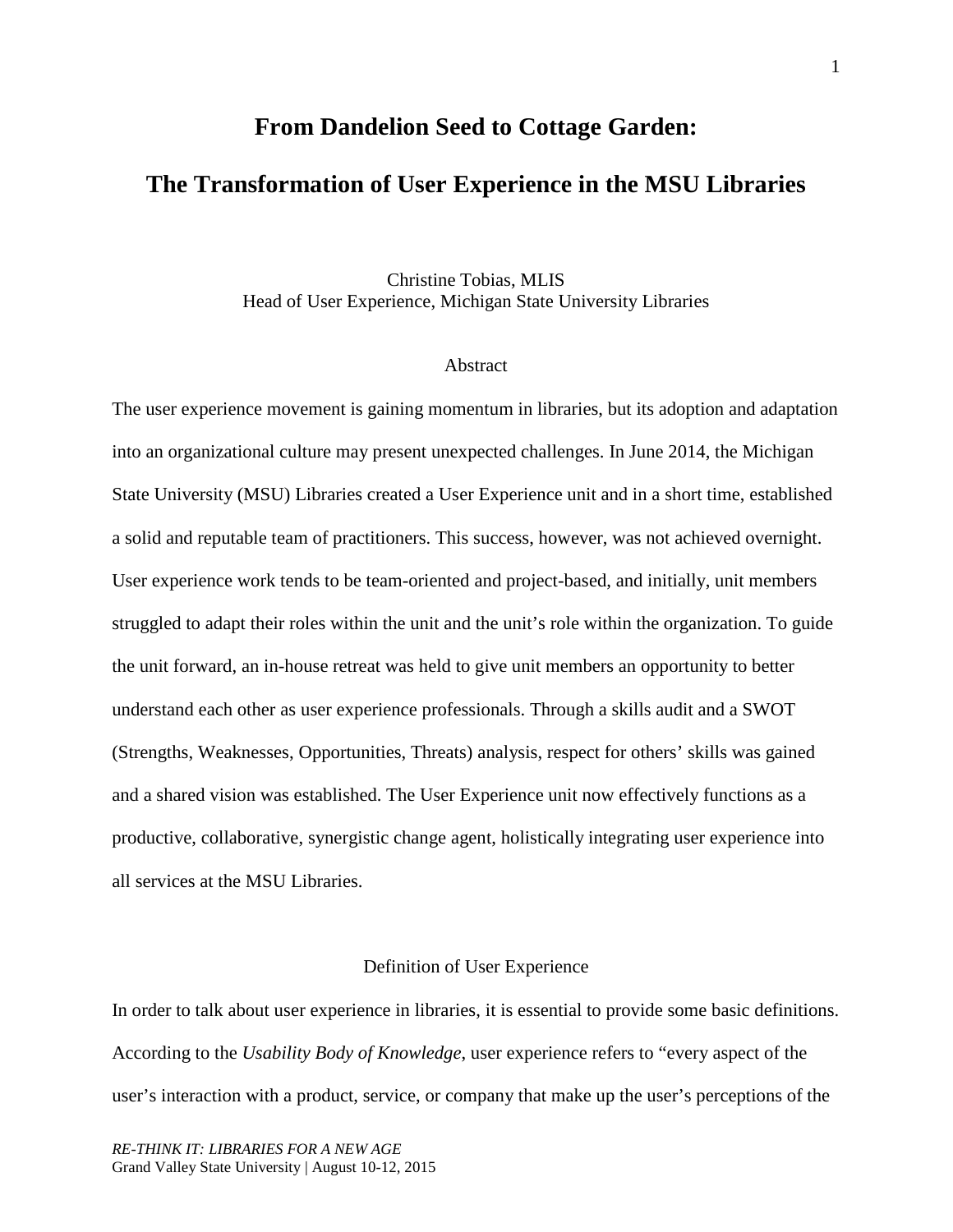# **From Dandelion Seed to Cottage Garden: The Transformation of User Experience in the MSU Libraries**

Christine Tobias, MLIS Head of User Experience, Michigan State University Libraries

#### Abstract

The user experience movement is gaining momentum in libraries, but its adoption and adaptation into an organizational culture may present unexpected challenges. In June 2014, the Michigan State University (MSU) Libraries created a User Experience unit and in a short time, established a solid and reputable team of practitioners. This success, however, was not achieved overnight. User experience work tends to be team-oriented and project-based, and initially, unit members struggled to adapt their roles within the unit and the unit's role within the organization. To guide the unit forward, an in-house retreat was held to give unit members an opportunity to better understand each other as user experience professionals. Through a skills audit and a SWOT (Strengths, Weaknesses, Opportunities, Threats) analysis, respect for others' skills was gained and a shared vision was established. The User Experience unit now effectively functions as a productive, collaborative, synergistic change agent, holistically integrating user experience into all services at the MSU Libraries.

## Definition of User Experience

In order to talk about user experience in libraries, it is essential to provide some basic definitions. According to the *Usability Body of Knowledge*, user experience refers to "every aspect of the user's interaction with a product, service, or company that make up the user's perceptions of the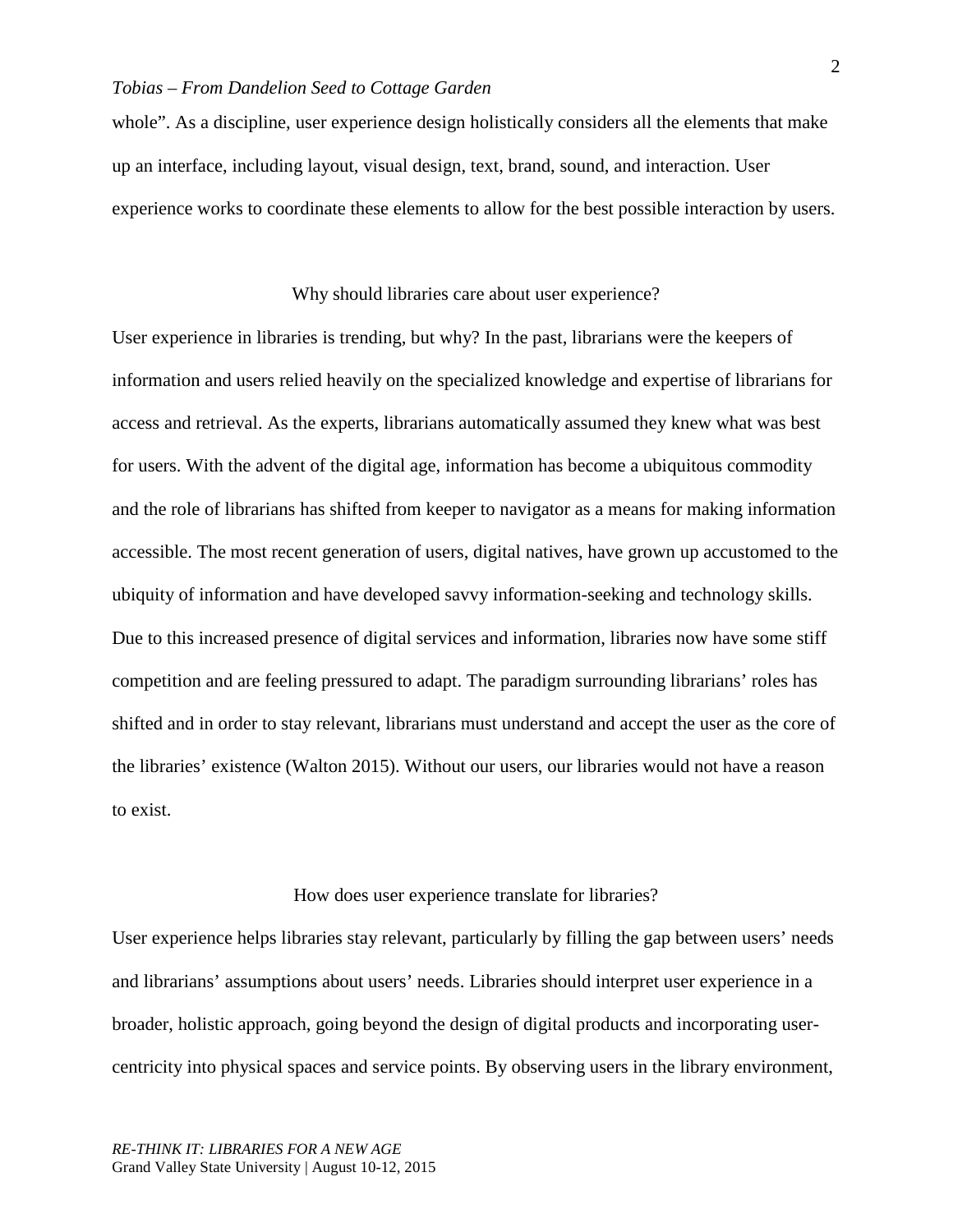whole". As a discipline, user experience design holistically considers all the elements that make up an interface, including layout, visual design, text, brand, sound, and interaction. User experience works to coordinate these elements to allow for the best possible interaction by users.

#### Why should libraries care about user experience?

User experience in libraries is trending, but why? In the past, librarians were the keepers of information and users relied heavily on the specialized knowledge and expertise of librarians for access and retrieval. As the experts, librarians automatically assumed they knew what was best for users. With the advent of the digital age, information has become a ubiquitous commodity and the role of librarians has shifted from keeper to navigator as a means for making information accessible. The most recent generation of users, digital natives, have grown up accustomed to the ubiquity of information and have developed savvy information-seeking and technology skills. Due to this increased presence of digital services and information, libraries now have some stiff competition and are feeling pressured to adapt. The paradigm surrounding librarians' roles has shifted and in order to stay relevant, librarians must understand and accept the user as the core of the libraries' existence (Walton 2015). Without our users, our libraries would not have a reason to exist.

#### How does user experience translate for libraries?

User experience helps libraries stay relevant, particularly by filling the gap between users' needs and librarians' assumptions about users' needs. Libraries should interpret user experience in a broader, holistic approach, going beyond the design of digital products and incorporating usercentricity into physical spaces and service points. By observing users in the library environment,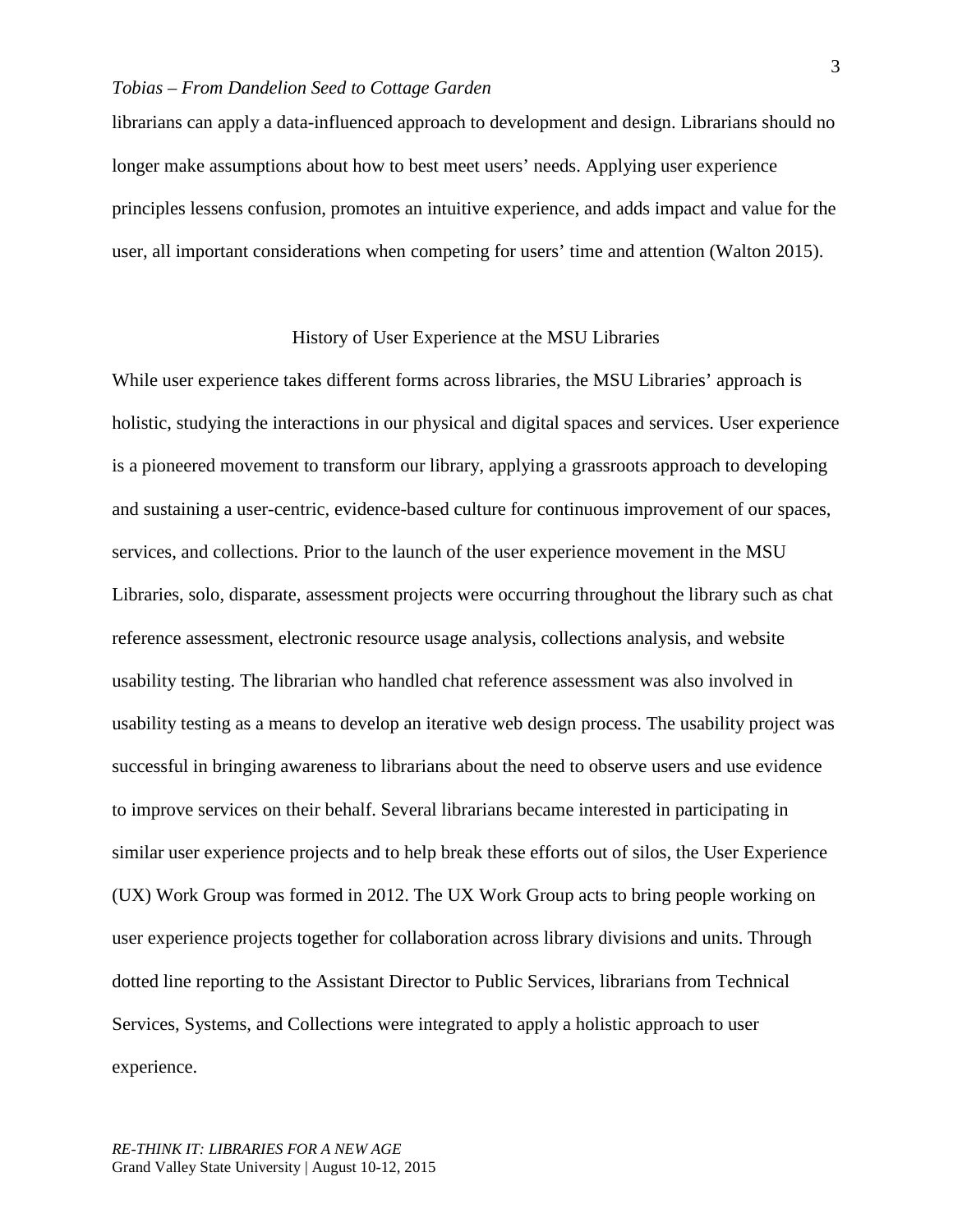librarians can apply a data-influenced approach to development and design. Librarians should no longer make assumptions about how to best meet users' needs. Applying user experience principles lessens confusion, promotes an intuitive experience, and adds impact and value for the user, all important considerations when competing for users' time and attention (Walton 2015).

# History of User Experience at the MSU Libraries

While user experience takes different forms across libraries, the MSU Libraries' approach is holistic, studying the interactions in our physical and digital spaces and services. User experience is a pioneered movement to transform our library, applying a grassroots approach to developing and sustaining a user-centric, evidence-based culture for continuous improvement of our spaces, services, and collections. Prior to the launch of the user experience movement in the MSU Libraries, solo, disparate, assessment projects were occurring throughout the library such as chat reference assessment, electronic resource usage analysis, collections analysis, and website usability testing. The librarian who handled chat reference assessment was also involved in usability testing as a means to develop an iterative web design process. The usability project was successful in bringing awareness to librarians about the need to observe users and use evidence to improve services on their behalf. Several librarians became interested in participating in similar user experience projects and to help break these efforts out of silos, the User Experience (UX) Work Group was formed in 2012. The UX Work Group acts to bring people working on user experience projects together for collaboration across library divisions and units. Through dotted line reporting to the Assistant Director to Public Services, librarians from Technical Services, Systems, and Collections were integrated to apply a holistic approach to user experience.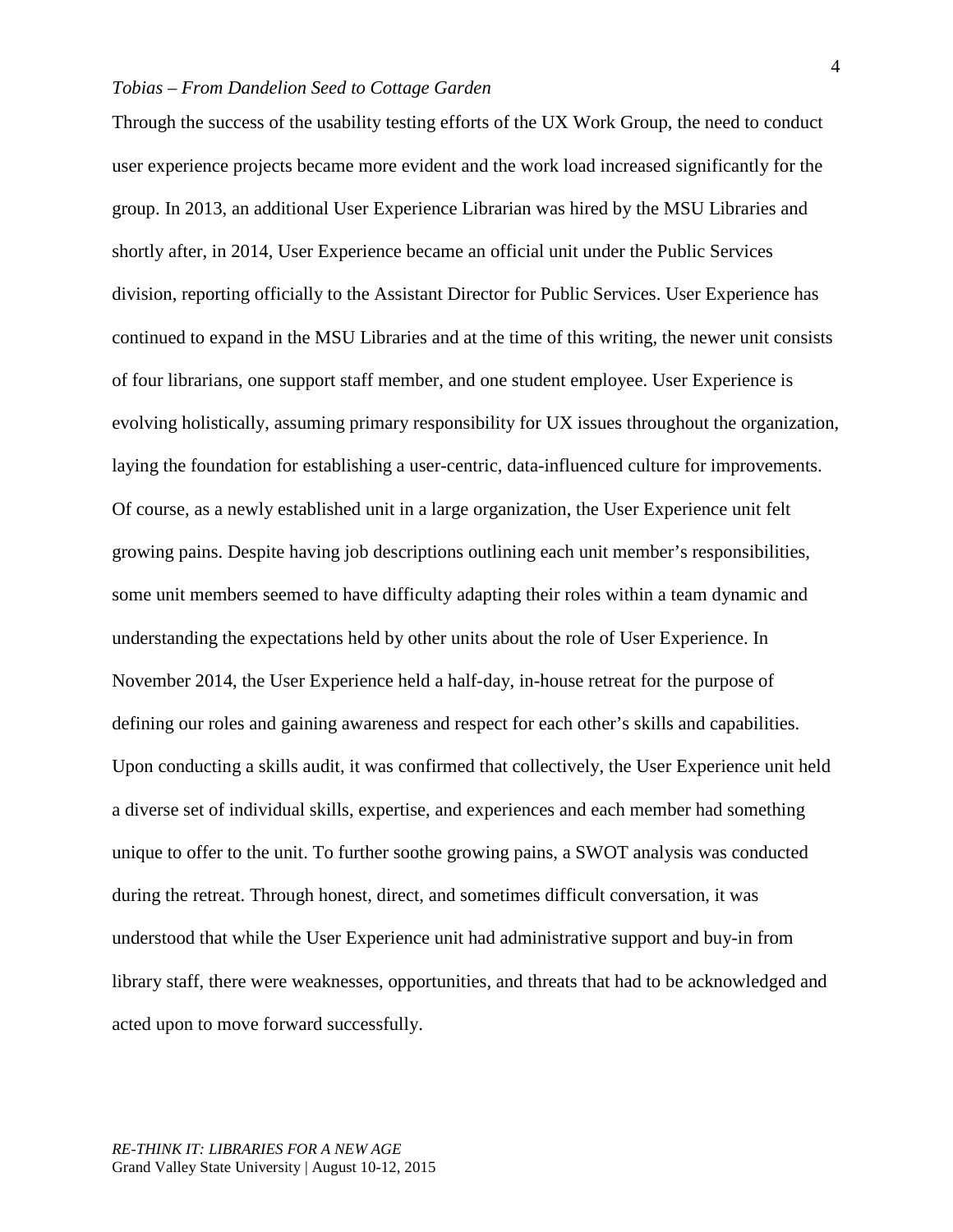Through the success of the usability testing efforts of the UX Work Group, the need to conduct user experience projects became more evident and the work load increased significantly for the group. In 2013, an additional User Experience Librarian was hired by the MSU Libraries and shortly after, in 2014, User Experience became an official unit under the Public Services division, reporting officially to the Assistant Director for Public Services. User Experience has continued to expand in the MSU Libraries and at the time of this writing, the newer unit consists of four librarians, one support staff member, and one student employee. User Experience is evolving holistically, assuming primary responsibility for UX issues throughout the organization, laying the foundation for establishing a user-centric, data-influenced culture for improvements. Of course, as a newly established unit in a large organization, the User Experience unit felt growing pains. Despite having job descriptions outlining each unit member's responsibilities, some unit members seemed to have difficulty adapting their roles within a team dynamic and understanding the expectations held by other units about the role of User Experience. In November 2014, the User Experience held a half-day, in-house retreat for the purpose of defining our roles and gaining awareness and respect for each other's skills and capabilities. Upon conducting a skills audit, it was confirmed that collectively, the User Experience unit held a diverse set of individual skills, expertise, and experiences and each member had something unique to offer to the unit. To further soothe growing pains, a SWOT analysis was conducted during the retreat. Through honest, direct, and sometimes difficult conversation, it was understood that while the User Experience unit had administrative support and buy-in from library staff, there were weaknesses, opportunities, and threats that had to be acknowledged and acted upon to move forward successfully.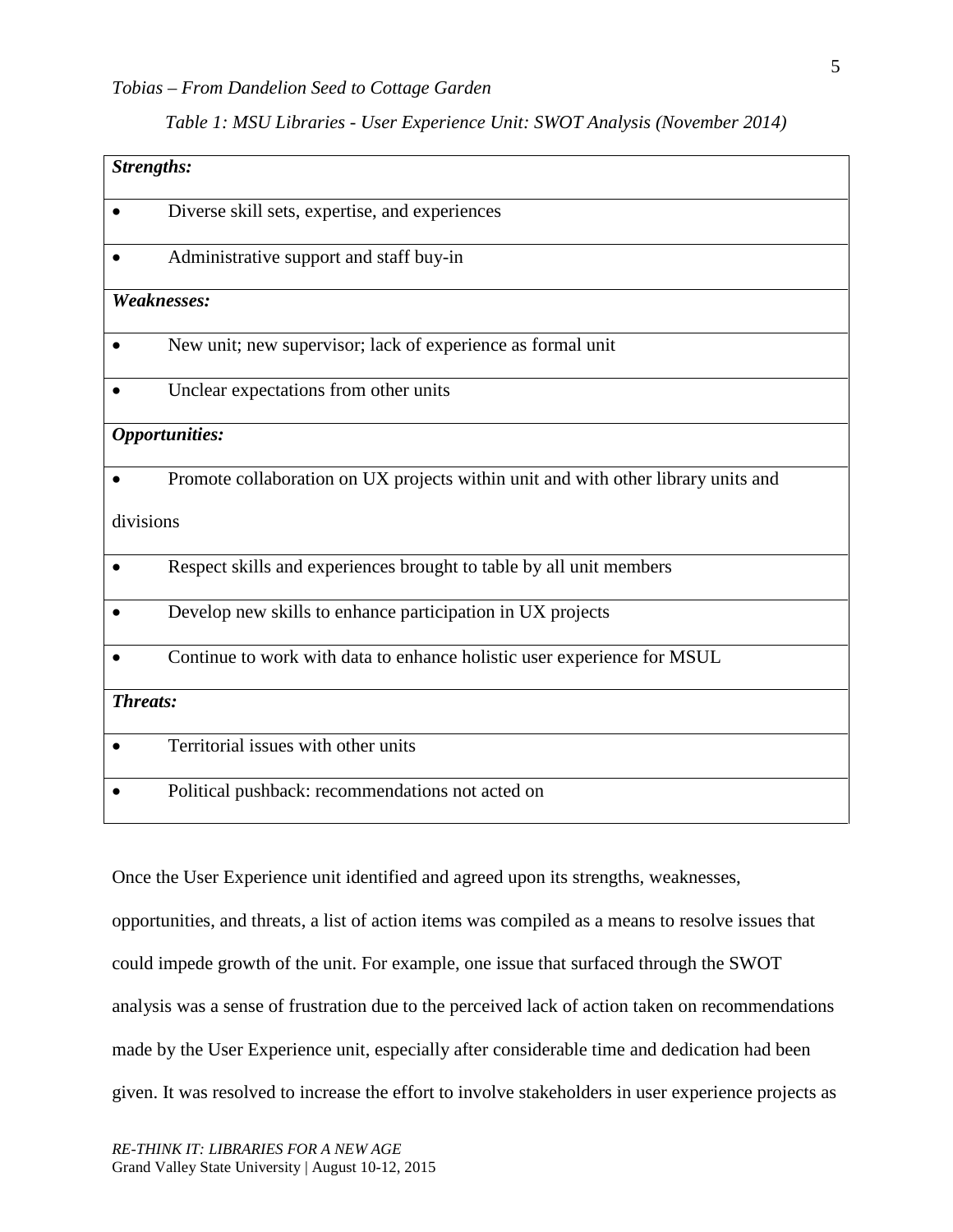# *Table 1: MSU Libraries - User Experience Unit: SWOT Analysis (November 2014)*

| <b>Strengths:</b>     |                                                                                   |
|-----------------------|-----------------------------------------------------------------------------------|
|                       | Diverse skill sets, expertise, and experiences                                    |
|                       | Administrative support and staff buy-in                                           |
| Weaknesses:           |                                                                                   |
|                       | New unit; new supervisor; lack of experience as formal unit                       |
|                       | Unclear expectations from other units                                             |
| <b>Opportunities:</b> |                                                                                   |
|                       | Promote collaboration on UX projects within unit and with other library units and |
| divisions             |                                                                                   |
|                       | Respect skills and experiences brought to table by all unit members               |
|                       | Develop new skills to enhance participation in UX projects                        |
|                       | Continue to work with data to enhance holistic user experience for MSUL           |
| <b>Threats:</b>       |                                                                                   |
|                       | Territorial issues with other units                                               |
|                       | Political pushback: recommendations not acted on                                  |

Once the User Experience unit identified and agreed upon its strengths, weaknesses,

opportunities, and threats, a list of action items was compiled as a means to resolve issues that could impede growth of the unit. For example, one issue that surfaced through the SWOT analysis was a sense of frustration due to the perceived lack of action taken on recommendations made by the User Experience unit, especially after considerable time and dedication had been given. It was resolved to increase the effort to involve stakeholders in user experience projects as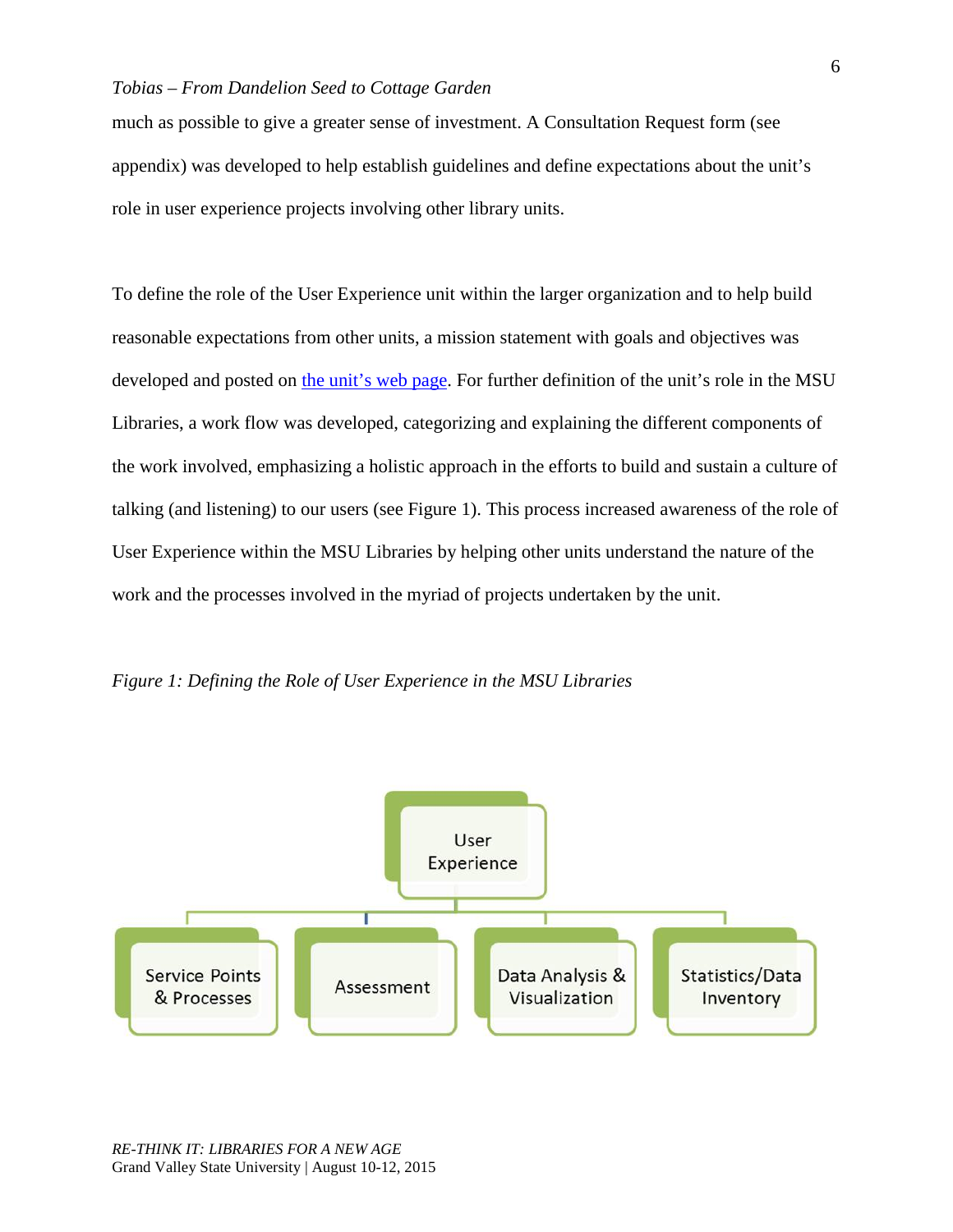much as possible to give a greater sense of investment. A Consultation Request form (see appendix) was developed to help establish guidelines and define expectations about the unit's role in user experience projects involving other library units.

To define the role of the User Experience unit within the larger organization and to help build reasonable expectations from other units, a mission statement with goals and objectives was developed and posted on [the unit's web page.](https://www.lib.msu.edu/ux/) For further definition of the unit's role in the MSU Libraries, a work flow was developed, categorizing and explaining the different components of the work involved, emphasizing a holistic approach in the efforts to build and sustain a culture of talking (and listening) to our users (see Figure 1). This process increased awareness of the role of User Experience within the MSU Libraries by helping other units understand the nature of the work and the processes involved in the myriad of projects undertaken by the unit.



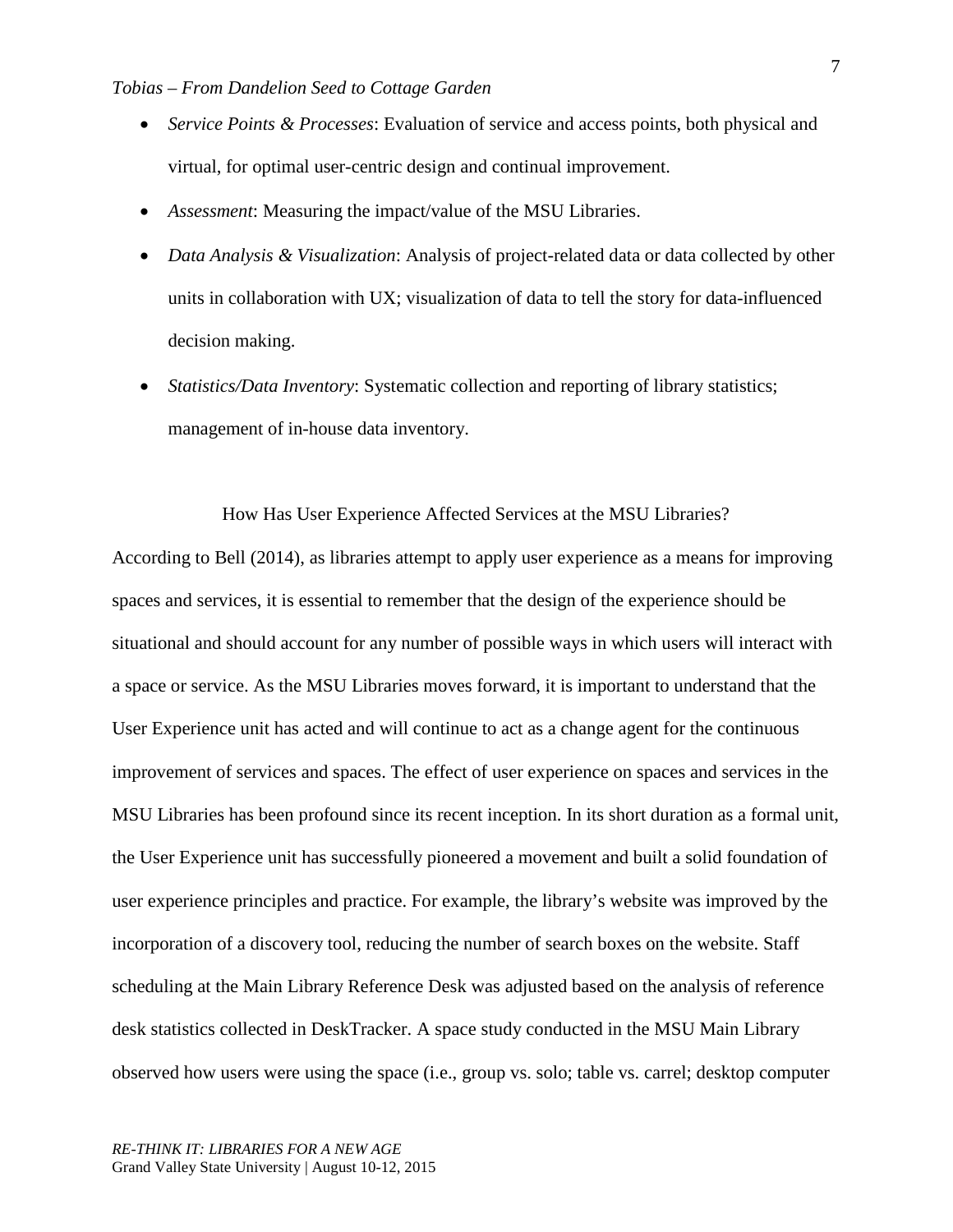- *Service Points & Processes*: Evaluation of service and access points, both physical and virtual, for optimal user-centric design and continual improvement.
- *Assessment*: Measuring the impact/value of the MSU Libraries.
- *Data Analysis & Visualization*: Analysis of project-related data or data collected by other units in collaboration with UX; visualization of data to tell the story for data-influenced decision making.
- *Statistics/Data Inventory:* Systematic collection and reporting of library statistics; management of in-house data inventory.

How Has User Experience Affected Services at the MSU Libraries?

According to Bell (2014), as libraries attempt to apply user experience as a means for improving spaces and services, it is essential to remember that the design of the experience should be situational and should account for any number of possible ways in which users will interact with a space or service. As the MSU Libraries moves forward, it is important to understand that the User Experience unit has acted and will continue to act as a change agent for the continuous improvement of services and spaces. The effect of user experience on spaces and services in the MSU Libraries has been profound since its recent inception. In its short duration as a formal unit, the User Experience unit has successfully pioneered a movement and built a solid foundation of user experience principles and practice. For example, the library's website was improved by the incorporation of a discovery tool, reducing the number of search boxes on the website. Staff scheduling at the Main Library Reference Desk was adjusted based on the analysis of reference desk statistics collected in DeskTracker. A space study conducted in the MSU Main Library observed how users were using the space (i.e., group vs. solo; table vs. carrel; desktop computer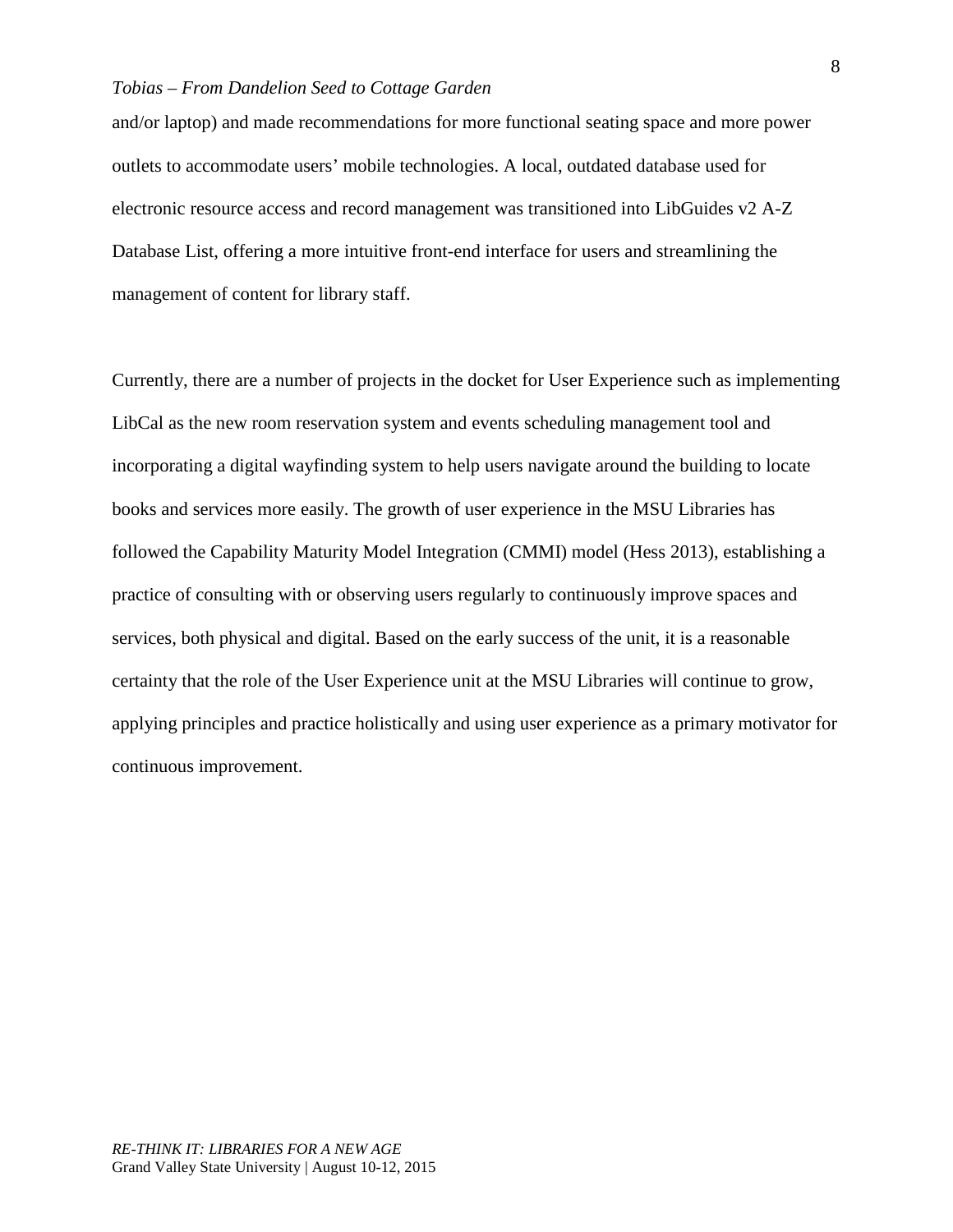and/or laptop) and made recommendations for more functional seating space and more power outlets to accommodate users' mobile technologies. A local, outdated database used for electronic resource access and record management was transitioned into LibGuides v2 A-Z Database List, offering a more intuitive front-end interface for users and streamlining the management of content for library staff.

Currently, there are a number of projects in the docket for User Experience such as implementing LibCal as the new room reservation system and events scheduling management tool and incorporating a digital wayfinding system to help users navigate around the building to locate books and services more easily. The growth of user experience in the MSU Libraries has followed the Capability Maturity Model Integration (CMMI) model (Hess 2013), establishing a practice of consulting with or observing users regularly to continuously improve spaces and services, both physical and digital. Based on the early success of the unit, it is a reasonable certainty that the role of the User Experience unit at the MSU Libraries will continue to grow, applying principles and practice holistically and using user experience as a primary motivator for continuous improvement.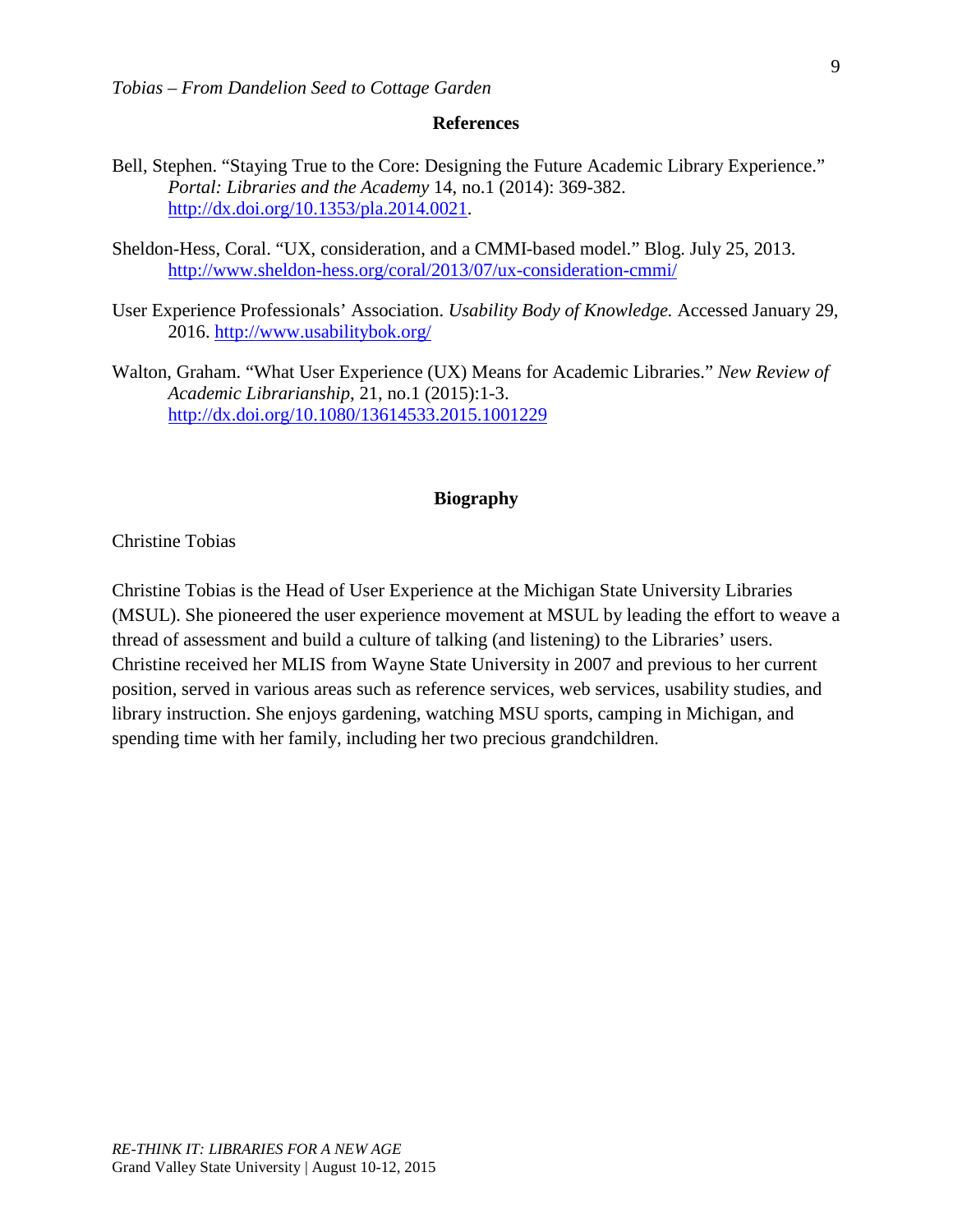#### **References**

- Bell, Stephen. "Staying True to the Core: Designing the Future Academic Library Experience." *Portal: Libraries and the Academy* 14, no.1 (2014): 369-382. [http://dx.doi.org/10.1353/pla.2014.0021.](http://dx.doi.org/10.1353/pla.2014.0021)
- Sheldon-Hess, Coral. "UX, consideration, and a CMMI-based model." Blog. July 25, 2013. <http://www.sheldon-hess.org/coral/2013/07/ux-consideration-cmmi/>
- User Experience Professionals' Association. *Usability Body of Knowledge.* Accessed January 29, 2016. <http://www.usabilitybok.org/>
- Walton, Graham. "What User Experience (UX) Means for Academic Libraries." *New Review of Academic Librarianship*, 21, no.1 (2015):1-3. <http://dx.doi.org/10.1080/13614533.2015.1001229>

#### **Biography**

Christine Tobias

Christine Tobias is the Head of User Experience at the Michigan State University Libraries (MSUL). She pioneered the user experience movement at MSUL by leading the effort to weave a thread of assessment and build a culture of talking (and listening) to the Libraries' users. Christine received her MLIS from Wayne State University in 2007 and previous to her current position, served in various areas such as reference services, web services, usability studies, and library instruction. She enjoys gardening, watching MSU sports, camping in Michigan, and spending time with her family, including her two precious grandchildren.